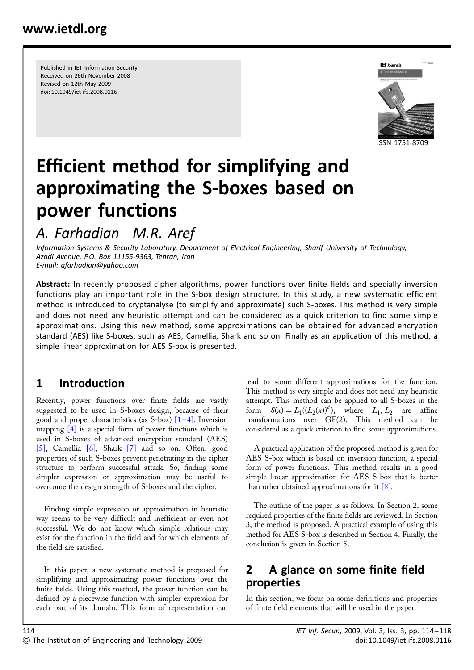Published in IET Information Security Received on 26th November 2008 Revised on 12th May 2009 doi: 10.1049/iet-ifs.2008.0116



# Efficient method for simplifying and approximating the S-boxes based on power functions

## A. Farhadian M.R. Aref

Information Systems & Security Laboratory, Department of Electrical Engineering, Sharif University of Technology, Azadi Avenue, P.O. Box 11155-9363, Tehran, Iran E-mail: afarhadian@yahoo.com

Abstract: In recently proposed cipher algorithms, power functions over finite fields and specially inversion functions play an important role in the S-box design structure. In this study, a new systematic efficient method is introduced to cryptanalyse (to simplify and approximate) such S-boxes. This method is very simple and does not need any heuristic attempt and can be considered as a quick criterion to find some simple approximations. Using this new method, some approximations can be obtained for advanced encryption standard (AES) like S-boxes, such as AES, Camellia, Shark and so on. Finally as an application of this method, a simple linear approximation for AES S-box is presented.

## 1 Introduction

Recently, power functions over finite fields are vastly suggested to be used in S-boxes design, because of their good and proper characteristics (as S-box)  $\left[1-4\right]$ . Inversion mapping  $[4]$  is a special form of power functions which is used in S-boxes of advanced encryption standard (AES) [5], Camellia [6], Shark [7] and so on. Often, good properties of such S-boxes prevent penetrating in the cipher structure to perform successful attack. So, finding some simpler expression or approximation may be useful to overcome the design strength of S-boxes and the cipher.

Finding simple expression or approximation in heuristic way seems to be very difficult and inefficient or even not successful. We do not know which simple relations may exist for the function in the field and for which elements of the field are satisfied.

In this paper, a new systematic method is proposed for simplifying and approximating power functions over the finite fields. Using this method, the power function can be defined by a piecewise function with simpler expression for each part of its domain. This form of representation can lead to some different approximations for the function. This method is very simple and does not need any heuristic attempt. This method can be applied to all S-boxes in the form  $S(x) = L_1((L_2(x))^d)$ , where  $L_1, L_2$  are affine transformations over GF(2). This method can be considered as a quick criterion to find some approximations.

A practical application of the proposed method is given for AES S-box which is based on inversion function, a special form of power functions. This method results in a good simple linear approximation for AES S-box that is better than other obtained approximations for it  $[8]$ .

The outline of the paper is as follows. In Section 2, some required properties of the finite fields are reviewed. In Section 3, the method is proposed. A practical example of using this method for AES S-box is described in Section 4. Finally, the conclusion is given in Section 5.

### 2 A glance on some finite field properties

In this section, we focus on some definitions and properties of finite field elements that will be used in the paper.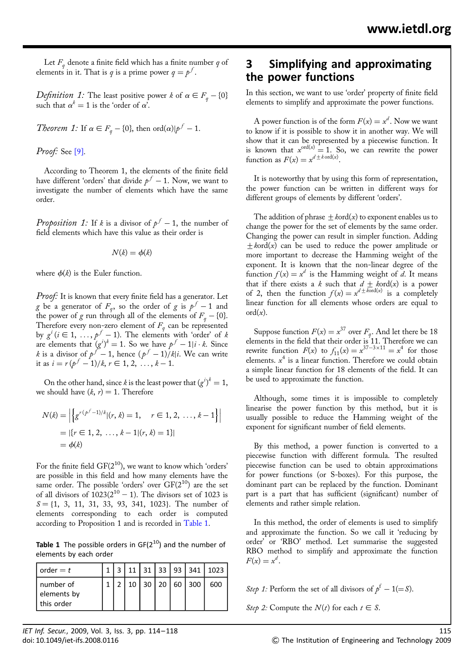Let  $F_q$  denote a finite field which has a finite number q of elements in it. That is q is a prime power  $q = p<sup>f</sup>$ .

Definition<sub>,</sub> 1: The least positive power k of  $\alpha \in F_q - \{ 0 \}$ such that  $\alpha^k = 1$  is the 'order of  $\alpha'$ .

*Theorem 1:* If  $\alpha \in F_q - \{0\}$ , then  $\text{ord}(\alpha)|p^f - 1$ .

Proof: See [9].

According to Theorem 1, the elements of the finite field have different 'orders' that divide  $p^f-1.$  Now, we want to investigate the number of elements which have the same order.

*Proposition 1*: If k is a divisor of  $p^f - 1$ , the number of field elements which have this value as their order is

$$
N(k)=\phi(k)
$$

where  $\phi(k)$  is the Euler function.

Proof: It is known that every finite field has a generator. Let g be a generator of  $F_q$ , so the order of g is  $p^f - 1$  and the power of g run through all of the elements of  $F_q - \{0\}$ . Therefore every non-zero element of  $F_q$  can be represented by  $g^i$  ( $i \in 1, \ldots, p^f-1$ ). The elements with 'order' of  $k$ are elements that  $(g^{i})^{k} = 1$ . So we have  $p^{f} - 1|i \cdot k$ . Since k is a divisor of  $p^f-1$ , hence  $(p^f-1)/k|i$ . We can write it as  $i = r(p^f - 1)/k, r \in 1, 2, ..., k - 1$ .

On the other hand, since k is the least power that  $(g^{i})^{k} = 1$ , we should have  $(k, r) = 1$ . Therefore

$$
N(k) = \left| \left\{ g^{r(p^f - 1)/k} | (r, k) = 1, \quad r \in 1, 2, \dots, k - 1 \right\} \right|
$$
  
=  $\left| \{ r \in 1, 2, \dots, k - 1 | (r, k) = 1 \} \right|$   
=  $\phi(k)$ 

For the finite field  $GF(2^{10})$ , we want to know which 'orders' are possible in this field and how many elements have the same order. The possible 'orders' over  $GF(2^{10})$  are the set of all divisors of  $1023(2^{10} - 1)$ . The divisors set of 1023 is  $S = \{1, 3, 11, 31, 33, 93, 341, 1023\}$ . The number of elements corresponding to each order is computed according to Proposition 1 and is recorded in Table 1.

**Table 1** The possible orders in  $GF(2^{10})$  and the number of elements by each order

| $order = t$                            |  |    |  | 11   31   33   93   341 | 1023 |
|----------------------------------------|--|----|--|-------------------------|------|
| number of<br>elements by<br>this order |  | 30 |  | 20 60 300               | 600  |

#### 3 Simplifying and approximating the power functions

In this section, we want to use 'order' property of finite field elements to simplify and approximate the power functions.

A power function is of the form  $F(x) = x^d$ . Now we want to know if it is possible to show it in another way. We will show that it can be represented by a piecewise function. It is known that  $x^{\text{ord}(x)} = 1$ . So, we can rewrite the power function as  $F(x) = x^{d \pm k \text{ ord}(x)}$ .

It is noteworthy that by using this form of representation, the power function can be written in different ways for different groups of elements by different 'orders'.

The addition of phrase  $\pm$  kord(x) to exponent enables us to change the power for the set of elements by the same order. Changing the power can result in simpler function. Adding  $\pm$  kord(x) can be used to reduce the power amplitude or more important to decrease the Hamming weight of the exponent. It is known that the non-linear degree of the function  $f(x) = x^d$  is the Hamming weight of d. It means that if there exists a k such that  $d \pm k$ ord(x) is a power of 2, then the function  $f(x) = x^{d \pm k \text{ord}(x)}$  is a completely linear function for all elements whose orders are equal to  $\mathrm{ord}(x)$ .

Suppose function  $F(x) = x^{37}$  over  $F_a$ . And let there be 18 elements in the field that their order is 11. Therefore we can rewrite function  $F(x)$  to  $f_{11}(x) = x^{37-3 \times 11} = x^4$  for those elements.  $x^4$  is a linear function. Therefore we could obtain a simple linear function for 18 elements of the field. It can be used to approximate the function.

Although, some times it is impossible to completely linearise the power function by this method, but it is usually possible to reduce the Hamming weight of the exponent for significant number of field elements.

By this method, a power function is converted to a piecewise function with different formula. The resulted piecewise function can be used to obtain approximations for power functions (or S-boxes). For this purpose, the dominant part can be replaced by the function. Dominant part is a part that has sufficient (significant) number of elements and rather simple relation.

In this method, the order of elements is used to simplify and approximate the function. So we call it 'reducing by order' or 'RBO' method. Let summarise the suggested RBO method to simplify and approximate the function  $F(x) = x^d$ .

Step 1: Perform the set of all divisors of  $p^f - 1 (= S)$ .

Step 2: Compute the  $N(t)$  for each  $t \in S$ .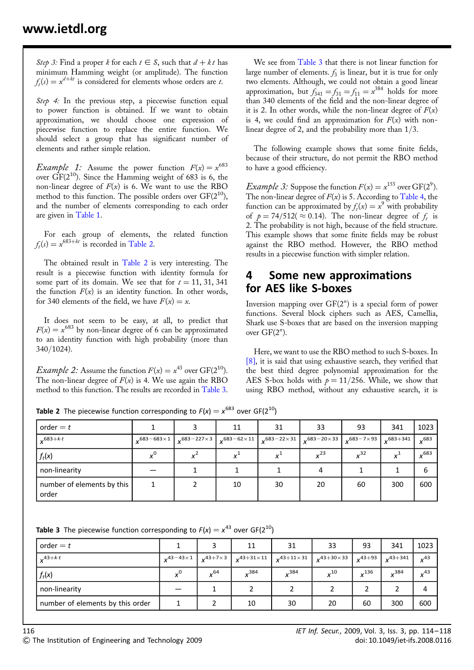Step 3: Find a proper k for each  $t \in S$ , such that  $d + k t$  has minimum Hamming weight (or amplitude). The function  $f<sub>i</sub>(s) = x<sup>d+kt</sup>$  is considered for elements whose orders are t.

Step 4: In the previous step, a piecewise function equal to power function is obtained. If we want to obtain approximation, we should choose one expression of piecewise function to replace the entire function. We should select a group that has significant number of elements and rather simple relation.

*Example 1:* Assume the power function  $F(x) = x^{683}$ over  $\hat{GF}(2^{10})$ . Since the Hamming weight of 683 is 6, the non-linear degree of  $F(x)$  is 6. We want to use the RBO method to this function. The possible orders over  $GF(2^{10})$ , and the number of elements corresponding to each order are given in Table 1.

For each group of elements, the related function  $f<sub>k</sub>(s) = x<sup>683+kt</sup>$  is recorded in Table 2.

The obtained result in Table 2 is very interesting. The result is a piecewise function with identity formula for some part of its domain. We see that for  $t = 11, 31, 341$ the function  $F(x)$  is an identity function. In other words, for 340 elements of the field, we have  $F(x) = x$ .

It does not seem to be easy, at all, to predict that  $F(x) = x^{683}$  by non-linear degree of 6 can be approximated to an identity function with high probability (more than 340/1024).

*Example 2:* Assume the function  $F(x) = x^{43}$  over GF(2<sup>10</sup>). The non-linear degree of  $F(x)$  is 4. We use again the RBO method to this function. The results are recorded in Table 3.

We see from Table 3 that there is not linear function for large number of elements.  $f_3$  is linear, but it is true for only two elements. Although, we could not obtain a good linear approximation, but  $f_{341} = f_{31} = f_{11} = x^{384}$  holds for more than 340 elements of the field and the non-linear degree of it is 2. In other words, while the non-linear degree of  $F(x)$ is 4, we could find an approximation for  $F(x)$  with nonlinear degree of 2, and the probability more than 1/3.

The following example shows that some finite fields, because of their structure, do not permit the RBO method to have a good efficiency.

*Example 3*: Suppose the function  $F(x) = x^{155}$  over  $GF(2^9)$ . The non-linear degree of  $F(x)$  is 5. According to Table 4, the function can be approximated by  $f_t(x) = x^9$  with probability of  $p = 74/512 \approx 0.14$ . The non-linear degree of f<sub>t</sub> is 2. The probability is not high, because of the field structure. This example shows that some finite fields may be robust against the RBO method. However, the RBO method results in a piecewise function with simpler relation.

#### 4 Some new approximations for AES like S-boxes

Inversion mapping over  $GF(2<sup>n</sup>)$  is a special form of power functions. Several block ciphers such as AES, Camellia, Shark use S-boxes that are based on the inversion mapping over  $GF(2<sup>n</sup>)$ .

Here, we want to use the RBO method to such S-boxes. In [8], it is said that using exhaustive search, they verified that the best third degree polynomial approximation for the AES S-box holds with  $p = 11/256$ . While, we show that using RBO method, without any exhaustive search, it is

**Table 2** The piecewise function corresponding to  $F(x) = x^{683}$  over GF(2<sup>10</sup>)

| order $=t$                          |                       |                      | 11                   | 31                          | 33                       | 93                                            | 341 | 1023         |
|-------------------------------------|-----------------------|----------------------|----------------------|-----------------------------|--------------------------|-----------------------------------------------|-----|--------------|
| $683+k \cdot t$                     | $.683 - 683 \times 1$ | $683 - 227 \times 3$ | $683 - 62 \times 11$ | $\sqrt{683 - 22 \times 31}$ | $\binom{1}{x}$ 683-20×33 | $\sqrt{683 - 7 \times 93}$ $\sqrt{683 + 341}$ |     | ,683         |
| $f_t(x)$                            |                       |                      |                      |                             | $v^{23}$                 | v <sup>32</sup>                               |     | $\sqrt{683}$ |
| non-linearity                       |                       |                      |                      |                             |                          |                                               |     | b            |
| number of elements by this<br>order |                       |                      | 10                   | 30                          | 20                       | 60                                            | 300 | 600          |

|  |  |  | <b>Table 3</b> The piecewise function corresponding to $F(x) = x^{43}$ over GF(2 <sup>10</sup> ) |  |  |  |
|--|--|--|--------------------------------------------------------------------------------------------------|--|--|--|
|--|--|--|--------------------------------------------------------------------------------------------------|--|--|--|

| order $=t$                       |                     |                   | 11                  | 31                  | 33                  | 93          | 341          | 1023     |
|----------------------------------|---------------------|-------------------|---------------------|---------------------|---------------------|-------------|--------------|----------|
| $x^{43+k \cdot t}$               | $243 - 43 \times 1$ | $x^{43+7\times3}$ | $x^{43+31\times11}$ | $x^{43+11\times31}$ | $x^{43+30\times33}$ | $x^{43+93}$ | $x^{43+341}$ | $x^{43}$ |
| $f_t(x)$                         |                     | $x^{64}$          | $v^{384}$           | $x^{384}$           | $x^{10}$            | $x^{136}$   | 384          | $x^{43}$ |
| non-linearity                    |                     |                   |                     |                     |                     |             |              | 4        |
| number of elements by this order |                     |                   | 10                  | 30                  | 20                  | 60          | 300          | 600      |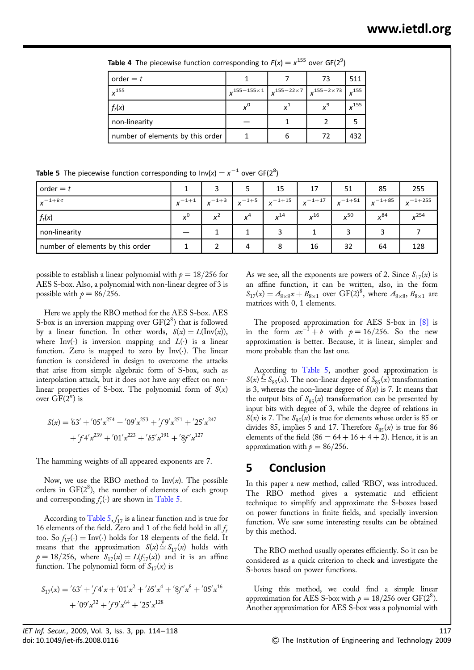**Table 4** The piecewise function corresponding to  $F(x) = x^{155}$  over GF(2<sup>9</sup>)

| order $=t$                       |                       |                                                                                                                                                                     | 73 | 511          |
|----------------------------------|-----------------------|---------------------------------------------------------------------------------------------------------------------------------------------------------------------|----|--------------|
| $x^{155}$                        | $x^{155-155\times 1}$ | $\left  \right.$ $\left. \right. \times 155 - 22 \times 7 \left. \right  \left. \right. \right. \left. \left. \right  \left. \right. \left. \right. \left. \right $ |    | $\times$ 155 |
| $f_t(x)$                         | $x^0$                 |                                                                                                                                                                     |    | $x^{155}$    |
| non-linearity                    |                       |                                                                                                                                                                     |    |              |
| number of elements by this order |                       | h                                                                                                                                                                   | 72 | 432          |

**Table 5** The piecewise function corresponding to  $Inv(x) = x^{-1}$  over GF(2<sup>8</sup>)

| order $=t$                       |            |            |            | 15          | 17          | 51          | 85          | 255          |
|----------------------------------|------------|------------|------------|-------------|-------------|-------------|-------------|--------------|
| $v^{-1+k \cdot t}$               | $x^{-1+1}$ | $x^{-1+3}$ | $x^{-1+5}$ | $x^{-1+15}$ | $x^{-1+17}$ | $x^{-1+51}$ | $x^{-1+85}$ | $v^{-1+255}$ |
| $f_t(x)$                         | $v^0$      |            | $x^4$      | $x^{14}$    | $x^{16}$    | $x^{50}$    | $\sqrt{84}$ | $v^{254}$    |
| non-linearity                    |            |            |            |             |             |             |             |              |
| number of elements by this order |            |            | 4          | 8           | 16          | 32          | 64          | 128          |

possible to establish a linear polynomial with  $p = 18/256$  for AES S-box. Also, a polynomial with non-linear degree of 3 is possible with  $p = 86/256$ .

Here we apply the RBO method for the AES S-box. AES S-box is an inversion mapping over  $GF(2^8)$  that is followed by a linear function. In other words,  $S(x) = L(\text{Inv}(x))$ , where Inv(.) is inversion mapping and  $L(.)$  is a linear function. Zero is mapped to zero by  $Inv(\cdot)$ . The linear function is considered in design to overcome the attacks that arise from simple algebraic form of S-box, such as interpolation attack, but it does not have any effect on nonlinear properties of S-box. The polynomial form of  $S(x)$ over  $GF(2^n)$  is

$$
S(x) = \frac{763'}{+} \cdot \frac{705'x^{254} + \frac{709'x^{253} + \frac{79'x^{251} + \frac{725'x^{247}}{247}}{254'x^{239} + \frac{701'x^{223} + \frac{765'x^{191} + \frac{867'x^{127}}{247}}{254'x^{27}}}
$$

The hamming weights of all appeared exponents are 7.

Now, we use the RBO method to  $Inv(x)$ . The possible orders in  $GF(2^8)$ , the number of elements of each group and corresponding  $f_t(\cdot)$  are shown in Table 5.

According to Table 5,  $f_{17}$  is a linear function and is true for 16 elements of the field. Zero and 1 of the field hold in all  $f_t$ too. So  $f_{17}(\cdot) = \text{Inv}(\cdot)$  holds for 18 elements of the field. It means that the approximation  $S(x) \simeq S_{17}(x)$  holds with  $p = 18/256$ , where  $S_{17}(x) = L(f_{17}(x))$  and it is an affine function. The polynomial form of  $S_{17}(x)$  is

$$
S_{17}(x) = \frac{763' + \frac{7}{7}4'x + \frac{701'x^2 + \frac{7}{7}5'x^4 + \frac{78}{7}x^8 + \frac{705'x^{16}}{16}}{109'x^{32} + \frac{7}{7}9'x^{64} + \frac{725'x^{128}}{100}}
$$

As we see, all the exponents are powers of 2. Since  $S_{17}(x)$  is an affine function, it can be written, also, in the form  $S_{17}(x) = A_{8\times8}x + B_{8\times1}$  over  $GF(2)^8$ , where  $A_{8\times8}$ ,  $B_{8\times1}$  are matrices with 0, 1 elements.

The proposed approximation for AES S-box in [8] is in the form  $ax^{-1} + b$  with  $p = 16/256$ . So the new approximation is better. Because, it is linear, simpler and more probable than the last one.

According to Table 5, another good approximation is  $S(x) \simeq S_{85}(x)$ . The non-linear degree of  $S_{85}(x)$  transformation is 3, whereas the non-linear degree of  $S(x)$  is 7. It means that the output bits of  $S_{85}(x)$  transformation can be presented by input bits with degree of 3, while the degree of relations in  $S(x)$  is 7. The  $S_{85}(x)$  is true for elements whose order is 85 or divides 85, implies 5 and 17. Therefore  $S_{85}(x)$  is true for 86 elements of the field  $(86 = 64 + 16 + 4 + 2)$ . Hence, it is an approximation with  $p = 86/256$ .

#### 5 Conclusion

In this paper a new method, called 'RBO', was introduced. The RBO method gives a systematic and efficient technique to simplify and approximate the S-boxes based on power functions in finite fields, and specially inversion function. We saw some interesting results can be obtained by this method.

The RBO method usually operates efficiently. So it can be considered as a quick criterion to check and investigate the S-boxes based on power functions.

Using this method, we could find a simple linear approximation for AES S-box with  $p = 18/256$  over GF(2<sup>8</sup>). Another approximation for AES S-box was a polynomial with